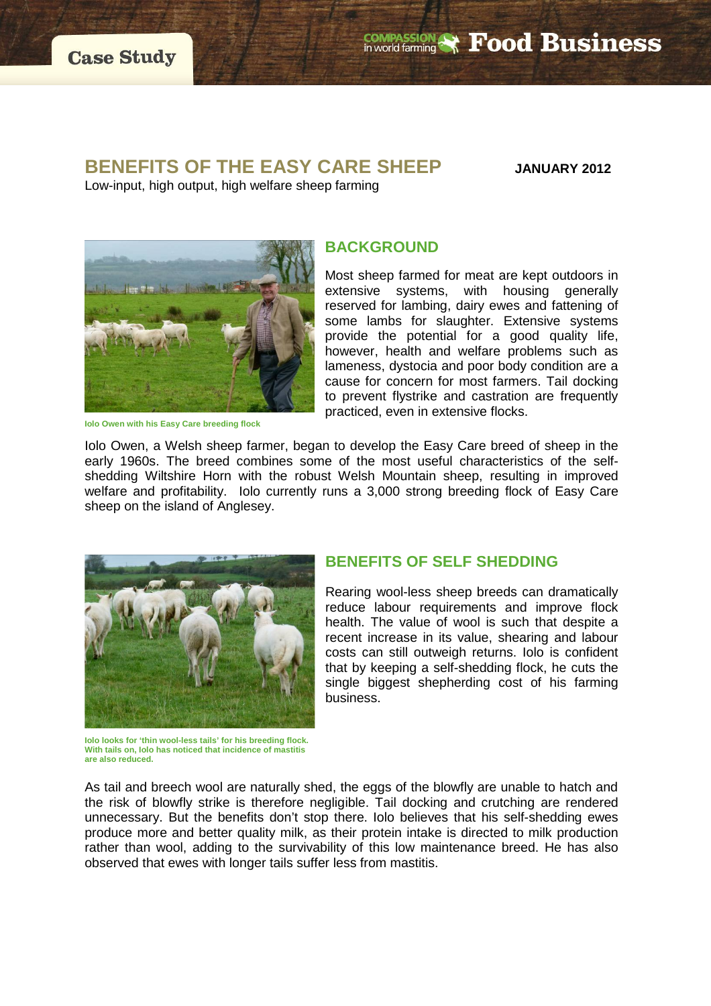**COMPASSION & Food Business** 

# **BENEFITS OF THE EASY CARE SHEEP JANUARY 2012**

Low-input, high output, high welfare sheep farming



**Iolo Owen with his Easy Care breeding flock**

### **BACKGROUND**

Most sheep farmed for meat are kept outdoors in extensive systems, with housing generally reserved for lambing, dairy ewes and fattening of some lambs for slaughter. Extensive systems provide the potential for a good quality life, however, health and welfare problems such as lameness, dystocia and poor body condition are a cause for concern for most farmers. Tail docking to prevent flystrike and castration are frequently practiced, even in extensive flocks.

Iolo Owen, a Welsh sheep farmer, began to develop the Easy Care breed of sheep in the early 1960s. The breed combines some of the most useful characteristics of the selfshedding Wiltshire Horn with the robust Welsh Mountain sheep, resulting in improved welfare and profitability. Iolo currently runs a 3,000 strong breeding flock of Easy Care sheep on the island of Anglesey.



**Iolo looks for 'thin wool-less tails' for his breeding flock. With tails on, Iolo has noticed that incidence of mastitis are also reduced.**

## **BENEFITS OF SELF SHEDDING**

Rearing wool-less sheep breeds can dramatically reduce labour requirements and improve flock health. The value of wool is such that despite a recent increase in its value, shearing and labour costs can still outweigh returns. Iolo is confident that by keeping a self-shedding flock, he cuts the single biggest shepherding cost of his farming business.

As tail and breech wool are naturally shed, the eggs of the blowfly are unable to hatch and the risk of blowfly strike is therefore negligible. Tail docking and crutching are rendered unnecessary. But the benefits don't stop there. Iolo believes that his self-shedding ewes produce more and better quality milk, as their protein intake is directed to milk production rather than wool, adding to the survivability of this low maintenance breed. He has also observed that ewes with longer tails suffer less from mastitis.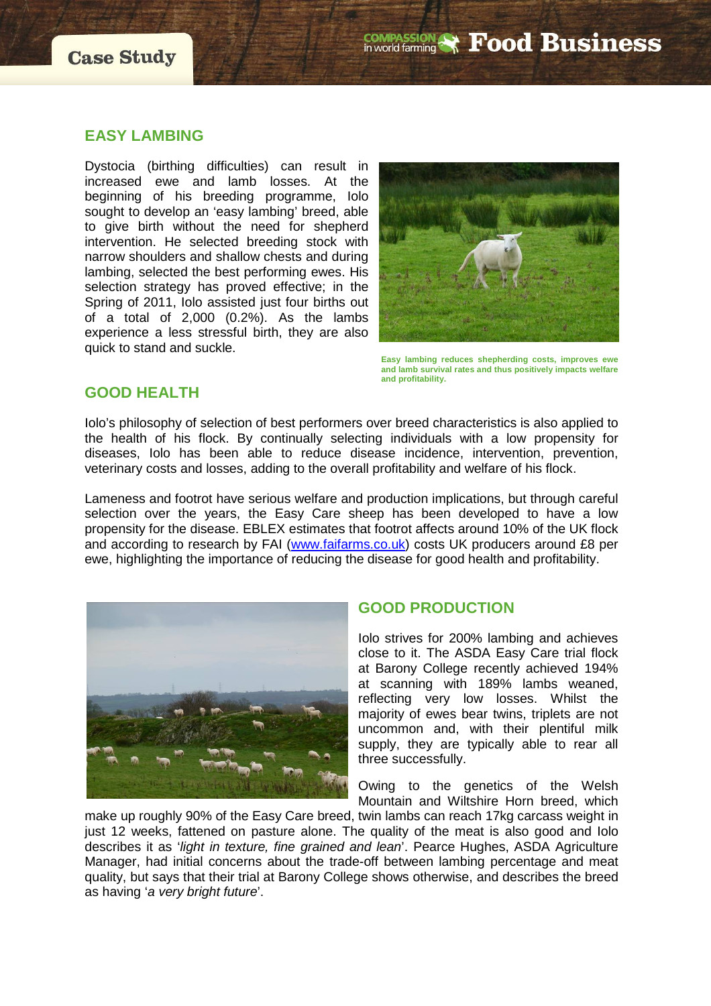

#### **EASY LAMBING**

Dystocia (birthing difficulties) can result in increased ewe and lamb losses. At the beginning of his breeding programme, Iolo sought to develop an 'easy lambing' breed, able to give birth without the need for shepherd intervention. He selected breeding stock with narrow shoulders and shallow chests and during lambing, selected the best performing ewes. His selection strategy has proved effective; in the Spring of 2011, Iolo assisted just four births out of a total of 2,000 (0.2%). As the lambs experience a less stressful birth, they are also quick to stand and suckle.



**Easy lambing reduces shepherding costs, improves ewe and lamb survival rates and thus positively impacts welfare and profitability.**

#### **GOOD HEALTH**

Iolo's philosophy of selection of best performers over breed characteristics is also applied to the health of his flock. By continually selecting individuals with a low propensity for diseases, Iolo has been able to reduce disease incidence, intervention, prevention, veterinary costs and losses, adding to the overall profitability and welfare of his flock.

Lameness and footrot have serious welfare and production implications, but through careful selection over the years, the Easy Care sheep has been developed to have a low propensity for the disease. EBLEX estimates that footrot affects around 10% of the UK flock and according to research by FAI [\(www.faifarms.co.uk\)](http://www.faifarms.co.uk/) costs UK producers around £8 per ewe, highlighting the importance of reducing the disease for good health and profitability.



#### **GOOD PRODUCTION**

Iolo strives for 200% lambing and achieves close to it. The ASDA Easy Care trial flock at Barony College recently achieved 194% at scanning with 189% lambs weaned, reflecting very low losses. Whilst the majority of ewes bear twins, triplets are not uncommon and, with their plentiful milk supply, they are typically able to rear all three successfully.

Owing to the genetics of the Welsh Mountain and Wiltshire Horn breed, which

make up roughly 90% of the Easy Care breed, twin lambs can reach 17kg carcass weight in just 12 weeks, fattened on pasture alone. The quality of the meat is also good and Iolo describes it as '*light in texture, fine grained and lean*'. Pearce Hughes, ASDA Agriculture Manager, had initial concerns about the trade-off between lambing percentage and meat quality, but says that their trial at Barony College shows otherwise, and describes the breed as having '*a very bright future*'.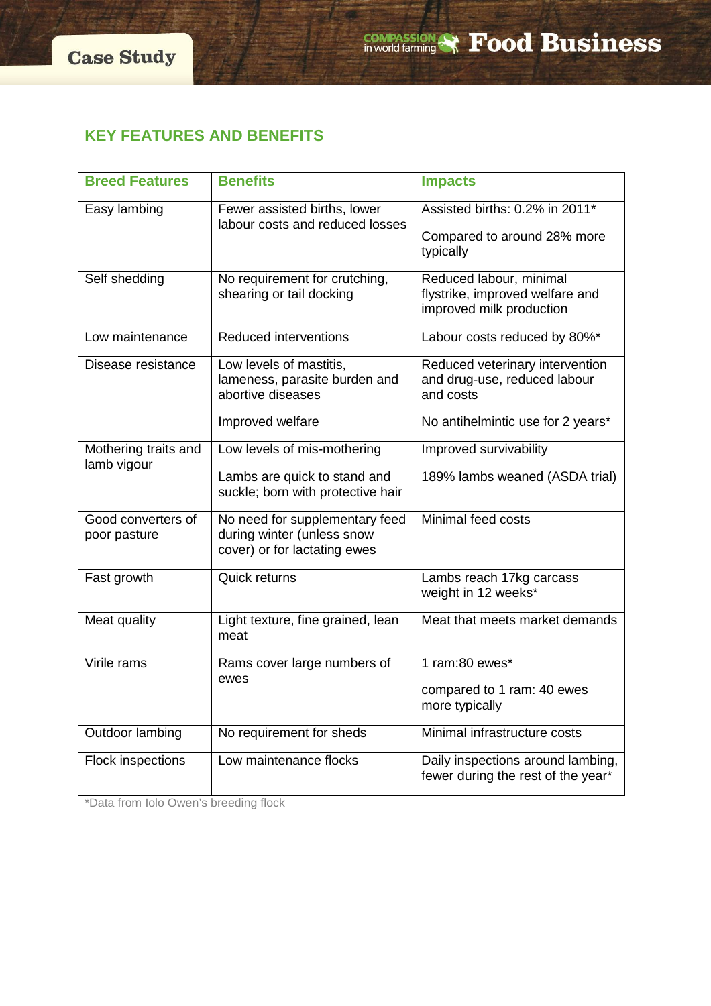# **KEY FEATURES AND BENEFITS**

| <b>Breed Features</b>               | <b>Benefits</b>                                                                              | <b>Impacts</b>                                                                         |
|-------------------------------------|----------------------------------------------------------------------------------------------|----------------------------------------------------------------------------------------|
| Easy lambing                        | Fewer assisted births, lower<br>labour costs and reduced losses                              | Assisted births: 0.2% in 2011*<br>Compared to around 28% more<br>typically             |
|                                     |                                                                                              |                                                                                        |
| Self shedding                       | No requirement for crutching,<br>shearing or tail docking                                    | Reduced labour, minimal<br>flystrike, improved welfare and<br>improved milk production |
| Low maintenance                     | <b>Reduced interventions</b>                                                                 | Labour costs reduced by 80%*                                                           |
| Disease resistance                  | Low levels of mastitis,<br>lameness, parasite burden and<br>abortive diseases                | Reduced veterinary intervention<br>and drug-use, reduced labour<br>and costs           |
|                                     | Improved welfare                                                                             | No antihelmintic use for 2 years*                                                      |
| Mothering traits and<br>lamb vigour | Low levels of mis-mothering                                                                  | Improved survivability                                                                 |
|                                     | Lambs are quick to stand and<br>suckle; born with protective hair                            | 189% lambs weaned (ASDA trial)                                                         |
| Good converters of<br>poor pasture  | No need for supplementary feed<br>during winter (unless snow<br>cover) or for lactating ewes | Minimal feed costs                                                                     |
| Fast growth                         | Quick returns                                                                                | Lambs reach 17kg carcass<br>weight in 12 weeks*                                        |
| Meat quality                        | Light texture, fine grained, lean<br>meat                                                    | Meat that meets market demands                                                         |
| Virile rams                         | Rams cover large numbers of<br>ewes                                                          | 1 ram:80 ewes*                                                                         |
|                                     |                                                                                              | compared to 1 ram: 40 ewes<br>more typically                                           |
| <b>Outdoor lambing</b>              | No requirement for sheds                                                                     | Minimal infrastructure costs                                                           |
| <b>Flock inspections</b>            | Low maintenance flocks                                                                       | Daily inspections around lambing,<br>fewer during the rest of the year*                |

\*Data from Iolo Owen's breeding flock